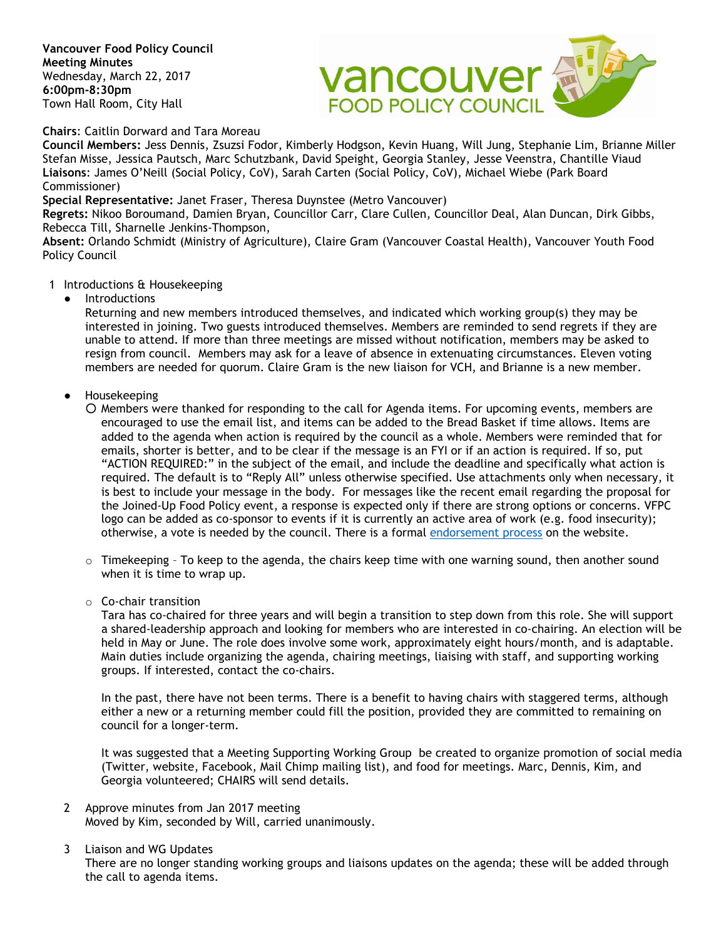**Vancouver Food Policy Council Meeting Minutes** Wednesday, March 22, 2017 **6:00pm-8:30pm** Town Hall Room, City Hall



## **Chairs**: Caitlin Dorward and Tara Moreau

**Council Members:** Jess Dennis, Zsuzsi Fodor, Kimberly Hodgson, Kevin Huang, Will Jung, Stephanie Lim, Brianne Miller Stefan Misse, Jessica Pautsch, Marc Schutzbank, David Speight, Georgia Stanley, Jesse Veenstra, Chantille Viaud **Liaisons**: James O'Neill (Social Policy, CoV), Sarah Carten (Social Policy, CoV), Michael Wiebe (Park Board Commissioner)

#### **Special Representative:** Janet Fraser, Theresa Duynstee (Metro Vancouver)

**Regrets:** Nikoo Boroumand, Damien Bryan, Councillor Carr, Clare Cullen, Councillor Deal, Alan Duncan, Dirk Gibbs, Rebecca Till, Sharnelle Jenkins-Thompson,

**Absent:** Orlando Schmidt (Ministry of Agriculture), Claire Gram (Vancouver Coastal Health), Vancouver Youth Food Policy Council

### 1 Introductions & Housekeeping

**Introductions** 

Returning and new members introduced themselves, and indicated which working group(s) they may be interested in joining. Two guests introduced themselves. Members are reminded to send regrets if they are unable to attend. If more than three meetings are missed without notification, members may be asked to resign from council. Members may ask for a leave of absence in extenuating circumstances. Eleven voting members are needed for quorum. Claire Gram is the new liaison for VCH, and Brianne is a new member.

- Housekeeping
	- Members were thanked for responding to the call for Agenda items. For upcoming events, members are encouraged to use the email list, and items can be added to the Bread Basket if time allows. Items are added to the agenda when action is required by the council as a whole. Members were reminded that for emails, shorter is better, and to be clear if the message is an FYI or if an action is required. If so, put "ACTION REQUIRED:" in the subject of the email, and include the deadline and specifically what action is required. The default is to "Reply All" unless otherwise specified. Use attachments only when necessary, it is best to include your message in the body. For messages like the recent email regarding the proposal for the Joined-Up Food Policy event, a response is expected only if there are strong options or concerns. VFPC logo can be added as co-sponsor to events if it is currently an active area of work (e.g. food insecurity); otherwise, a vote is needed by the council. There is a formal [endorsement process](http://www.vancouverfoodpolicycouncil.ca/contact-us/process-for-endorsements/) on the website.
	- $\circ$  Timekeeping To keep to the agenda, the chairs keep time with one warning sound, then another sound when it is time to wrap up.
	- o Co-chair transition

Tara has co-chaired for three years and will begin a transition to step down from this role. She will support a shared-leadership approach and looking for members who are interested in co-chairing. An election will be held in May or June. The role does involve some work, approximately eight hours/month, and is adaptable. Main duties include organizing the agenda, chairing meetings, liaising with staff, and supporting working groups. If interested, contact the co-chairs.

In the past, there have not been terms. There is a benefit to having chairs with staggered terms, although either a new or a returning member could fill the position, provided they are committed to remaining on council for a longer-term.

It was suggested that a Meeting Supporting Working Group be created to organize promotion of social media (Twitter, website, Facebook, Mail Chimp mailing list), and food for meetings. Marc, Dennis, Kim, and Georgia volunteered; CHAIRS will send details.

- 2 Approve minutes from Jan 2017 meeting Moved by Kim, seconded by Will, carried unanimously.
- 3 Liaison and WG Updates

There are no longer standing working groups and liaisons updates on the agenda; these will be added through the call to agenda items.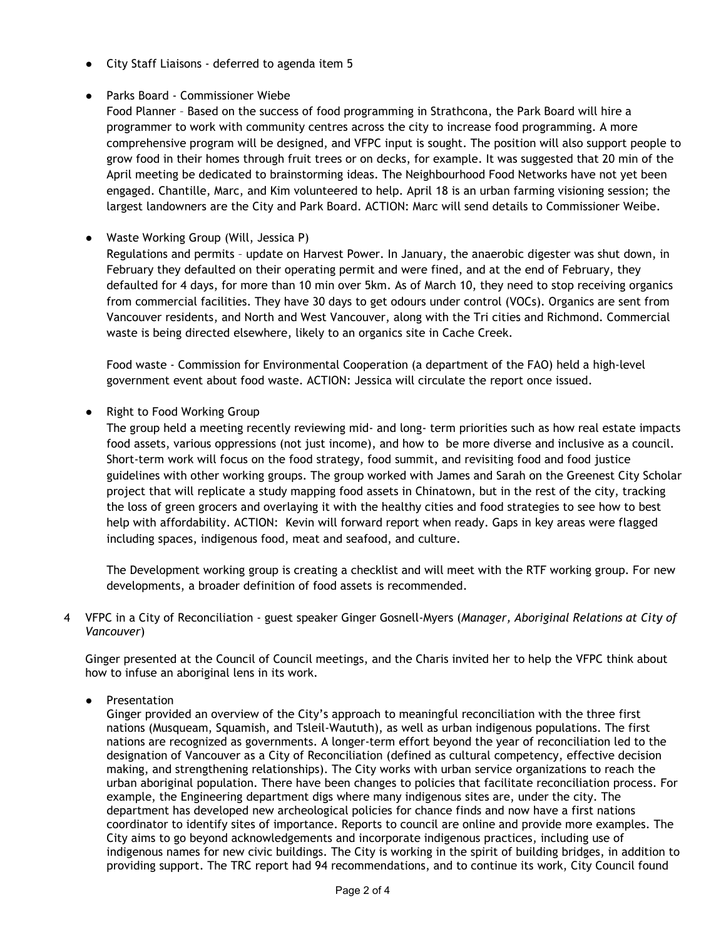- City Staff Liaisons deferred to agenda item 5
- Parks Board Commissioner Wiebe

Food Planner – Based on the success of food programming in Strathcona, the Park Board will hire a programmer to work with community centres across the city to increase food programming. A more comprehensive program will be designed, and VFPC input is sought. The position will also support people to grow food in their homes through fruit trees or on decks, for example. It was suggested that 20 min of the April meeting be dedicated to brainstorming ideas. The Neighbourhood Food Networks have not yet been engaged. Chantille, Marc, and Kim volunteered to help. April 18 is an urban farming visioning session; the largest landowners are the City and Park Board. ACTION: Marc will send details to Commissioner Weibe.

## ● Waste Working Group (Will, Jessica P)

Regulations and permits – update on Harvest Power. In January, the anaerobic digester was shut down, in February they defaulted on their operating permit and were fined, and at the end of February, they defaulted for 4 days, for more than 10 min over 5km. As of March 10, they need to stop receiving organics from commercial facilities. They have 30 days to get odours under control (VOCs). Organics are sent from Vancouver residents, and North and West Vancouver, along with the Tri cities and Richmond. Commercial waste is being directed elsewhere, likely to an organics site in Cache Creek.

Food waste - Commission for Environmental Cooperation (a department of the FAO) held a high-level government event about food waste. ACTION: Jessica will circulate the report once issued.

● Right to Food Working Group

The group held a meeting recently reviewing mid- and long- term priorities such as how real estate impacts food assets, various oppressions (not just income), and how to be more diverse and inclusive as a council. Short-term work will focus on the food strategy, food summit, and revisiting food and food justice guidelines with other working groups. The group worked with James and Sarah on the Greenest City Scholar project that will replicate a study mapping food assets in Chinatown, but in the rest of the city, tracking the loss of green grocers and overlaying it with the healthy cities and food strategies to see how to best help with affordability. ACTION: Kevin will forward report when ready. Gaps in key areas were flagged including spaces, indigenous food, meat and seafood, and culture.

The Development working group is creating a checklist and will meet with the RTF working group. For new developments, a broader definition of food assets is recommended.

4 VFPC in a City of Reconciliation - guest speaker Ginger Gosnell-Myers (*Manager, Aboriginal Relations at City of Vancouver*)

Ginger presented at the Council of Council meetings, and the Charis invited her to help the VFPC think about how to infuse an aboriginal lens in its work.

● Presentation

Ginger provided an overview of the City's approach to meaningful reconciliation with the three first nations (Musqueam, Squamish, and Tsleil-Waututh), as well as urban indigenous populations. The first nations are recognized as governments. A longer-term effort beyond the year of reconciliation led to the designation of Vancouver as a City of Reconciliation (defined as cultural competency, effective decision making, and strengthening relationships). The City works with urban service organizations to reach the urban aboriginal population. There have been changes to policies that facilitate reconciliation process. For example, the Engineering department digs where many indigenous sites are, under the city. The department has developed new archeological policies for chance finds and now have a first nations coordinator to identify sites of importance. Reports to council are online and provide more examples. The City aims to go beyond acknowledgements and incorporate indigenous practices, including use of indigenous names for new civic buildings. The City is working in the spirit of building bridges, in addition to providing support. The TRC report had 94 recommendations, and to continue its work, City Council found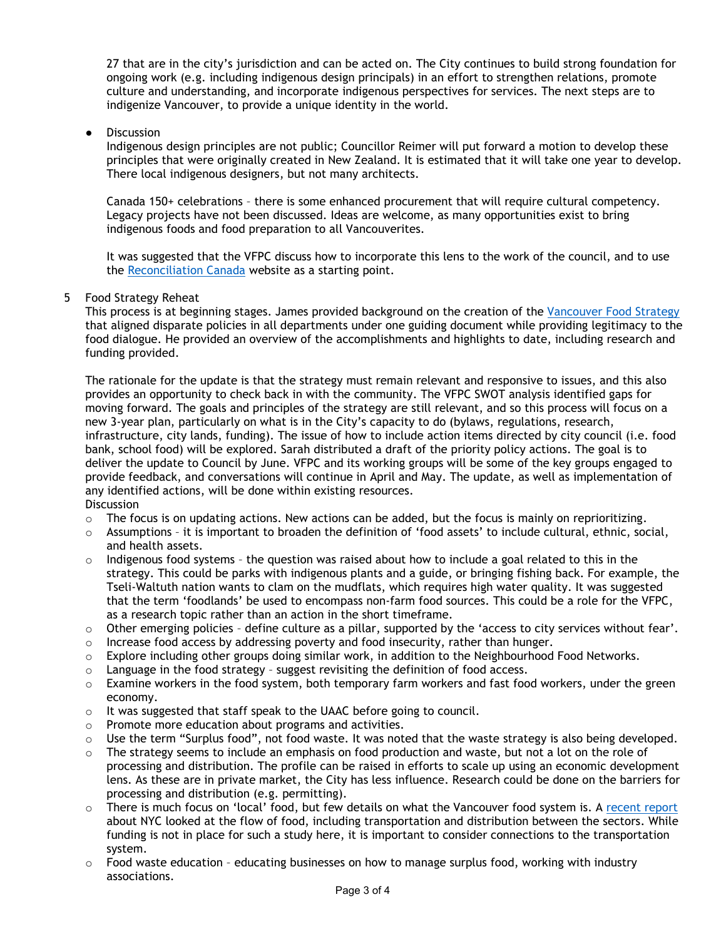27 that are in the city's jurisdiction and can be acted on. The City continues to build strong foundation for ongoing work (e.g. including indigenous design principals) in an effort to strengthen relations, promote culture and understanding, and incorporate indigenous perspectives for services. The next steps are to indigenize Vancouver, to provide a unique identity in the world.

**Discussion** 

Indigenous design principles are not public; Councillor Reimer will put forward a motion to develop these principles that were originally created in New Zealand. It is estimated that it will take one year to develop. There local indigenous designers, but not many architects.

Canada 150+ celebrations – there is some enhanced procurement that will require cultural competency. Legacy projects have not been discussed. Ideas are welcome, as many opportunities exist to bring indigenous foods and food preparation to all Vancouverites.

It was suggested that the VFPC discuss how to incorporate this lens to the work of the council, and to use the [Reconciliation](http://reconciliationcanada.ca/) Canada website as a starting point.

## 5 Food Strategy Reheat

This process is at beginning stages. James provided background on the creation of the [Vancouver Food Strategy](http://vancouver.ca/files/cov/vancouver-food-strategy-final.PDF) that aligned disparate policies in all departments under one guiding document while providing legitimacy to the food dialogue. He provided an overview of the accomplishments and highlights to date, including research and funding provided.

The rationale for the update is that the strategy must remain relevant and responsive to issues, and this also provides an opportunity to check back in with the community. The VFPC SWOT analysis identified gaps for moving forward. The goals and principles of the strategy are still relevant, and so this process will focus on a new 3-year plan, particularly on what is in the City's capacity to do (bylaws, regulations, research, infrastructure, city lands, funding). The issue of how to include action items directed by city council (i.e. food bank, school food) will be explored. Sarah distributed a draft of the priority policy actions. The goal is to deliver the update to Council by June. VFPC and its working groups will be some of the key groups engaged to provide feedback, and conversations will continue in April and May. The update, as well as implementation of any identified actions, will be done within existing resources. **Discussion** 

- $\circ$  The focus is on updating actions. New actions can be added, but the focus is mainly on reprioritizing.
- o Assumptions it is important to broaden the definition of 'food assets' to include cultural, ethnic, social, and health assets.
- Indigenous food systems the question was raised about how to include a goal related to this in the strategy. This could be parks with indigenous plants and a guide, or bringing fishing back. For example, the Tseli-Waltuth nation wants to clam on the mudflats, which requires high water quality. It was suggested that the term 'foodlands' be used to encompass non-farm food sources. This could be a role for the VFPC, as a research topic rather than an action in the short timeframe.
- $\circ$  Other emerging policies define culture as a pillar, supported by the 'access to city services without fear'.
- $\circ$  Increase food access by addressing poverty and food insecurity, rather than hunger.
- $\circ$  Explore including other groups doing similar work, in addition to the Neighbourhood Food Networks.
- o Language in the food strategy suggest revisiting the definition of food access.
- $\circ$  Examine workers in the food system, both temporary farm workers and fast food workers, under the green economy.
- o It was suggested that staff speak to the UAAC before going to council.
- o Promote more education about programs and activities.
- o Use the term "Surplus food", not food waste. It was noted that the waste strategy is also being developed.
- $\circ$  The strategy seems to include an emphasis on food production and waste, but not a lot on the role of processing and distribution. The profile can be raised in efforts to scale up using an economic development lens. As these are in private market, the City has less influence. Research could be done on the barriers for processing and distribution (e.g. permitting).
- o There is much focus on 'local' food, but few details on what the Vancouver food system is. A [recent report](https://www.nycedc.com/resource/five-borough-food-flow) about NYC looked at the flow of food, including transportation and distribution between the sectors. While funding is not in place for such a study here, it is important to consider connections to the transportation system.
- $\circ$  Food waste education educating businesses on how to manage surplus food, working with industry associations.